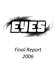<span id="page-0-0"></span>

# *Final Report 2006*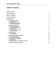# **Table of Contents**

| <b>Table of Contents</b>                                                                                                                                                                              | $\boldsymbol{l}$                 |
|-------------------------------------------------------------------------------------------------------------------------------------------------------------------------------------------------------|----------------------------------|
| <b>Acknowledgements</b>                                                                                                                                                                               | 3                                |
| <b>Director's Message</b>                                                                                                                                                                             | 5                                |
| <b>Executive Summary</b>                                                                                                                                                                              | 6                                |
| <b>Detailed Report</b>                                                                                                                                                                                | 7                                |
| 1. Organizational Profile<br>1.1. Camp History<br>1.2. Philosophy and Mission<br><b>1.3 Organizational Structure</b>                                                                                  | 7<br>7<br>8<br>8                 |
| 2. Programming Details<br>2.1. In-School Workshops<br><b>Recommendations for 2007</b><br>2.2. Summer Camps<br><b>Recommendations for 2007</b><br>2.3. Special Programs                                | 8<br>8<br>9<br>10<br>11<br>11    |
| 3. Financial Details<br><b>Recommendations</b>                                                                                                                                                        | 13<br>15                         |
| 4. Functional & Operational Details<br>4.1. Actua Membership<br>4.2. Marketing and Promotion<br>4.3. Registration & Scheduling<br>4.4. Sponsorship<br>4.5. Physical Resources, Equipment & Facilities | 16<br>16<br>16<br>16<br>17<br>17 |
| <b>5. Conclusions &amp; Recommendations</b>                                                                                                                                                           | 18                               |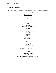## <span id="page-2-0"></span>**Acknowledgements**

EYES would like to thank the following supporters who contributed in numerous ways to the success of our 2006 summer program.

## *Host Institution*

University of Regina

## *Local Funders*

*Gold* Nexen Regina Research Park Saskferco

> *Silver* SaskTel SaskEnergy Enbridge SaskPower Labatt Breweries

*Bronze* Regina Engineering Society APEGS Consumers' Cooperative Refinery

## *2006 Actua National Funders*

**NSERC** Shell Canada Limited L'Oréal Canada Canadian Engineering Memorial Foundation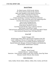## *Special Thanks*

Dr. Marie Iwaniw, EYES Faculty Advisor Dr. Warren Wessel, EYES Faculty Advisor Shay-Anne Shaddock, EYES Board of Directors Dick Graham, EYES Board of Directors Judson Trenholm, EYES Board of Directors Connie Litzenberger, Formerly EYES Board of Directors Christine, Jill, Cheryl, Layla, and all the staff in the Engineering office Lisa Graf and everyone at Financial Services Jason Avram, Printing Services Marcie Osmak, Printing Services Donna Braun, Residence Services Carol Harwood & Brenda Yung, Conference Services Rod Zimmer, SilverScreen Canada Todd and Jerod, Saskatchewan Science Centre and Kramer IMAX Theatre Dave Garrison & Shannon Hunt, YES Mag /KNOW

## *Actua Staff*

Jennifer Flanagan, CEO

Jill DeYoung, Project Officer and Executive Assistant to the CEO Leslie Cuthbertson, Director of Partnerships and Communications Virginia Hall, Director of Accessibility Programs and Research Sharina Dodsworth, Manager of Outreach Programs and Membership Nicole Bosiak, Administrative Assistant

## *2006 EYES Staff*

Director – Derek Frostad Assistant Director – Lindsay Klumpp Instructors - Scott Goertzen, Ashley Gorrill, Stacy Jackson, Aaron Ng, Simon Tétreault, Jennifer Wilcock, Dena Zarusky

## *Junior Instructors*

Justin, Amilea, Nicole, Kabari, Addison, Ashley, Kirk, Carolyn, and Nicole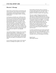## <span id="page-4-0"></span>**Director's Message**

This has been my third summer of involvement with EYES, and with it came my third role in the delivery of the program. Each of my three years with this program has been increasingly valuable, rewarding, and enjoyable.

I can honestly say that this year's staff has been the best of any I have had the privilege of working with over the course of my three years with this program. Each individual performed his or her duties with professionalism, enthusiasm, and a desire to learn from and teach others. It was a pleasure to come to work each morning, knowing that I had a group of instructors who enjoyed each other's company and worked well together. This is the first summer in my experience with EYES where we have not had to deal with any kind of work-related or interpersonal issues on our staff, and it made for a very enjoyable summer.

I also had the privilege of working with an extremely talented assistant director. Lindsay began in her position completely unfamiliar with the nature of our program and its day-to-day operations. She accepted the position with a teachable attitude, and performed efficiently and capably in everything that was asked of her.

It was an honor to be able to interact with a board of directors as intelligent and capable as ours. Each

board member and faculty advisor on numerous occasions made my life easier with timely advice, or by taking responsibility for various tasks. Their guidance is extremely valuable to this organization.

There are a number of things that make this job especially rewarding, including interactions with staff, sponsors, and the board, but the most rewarding part of my job has been my interactions with the kids who become involved in our program. On occasion, I wondered if, despite all our efforts, we were doing little more than providing summer child care. However, when I interacted with the kids in the projects they were doing, and when saw their excitement upon doing something new, I was reassured that we are indeed making a difference in the lives of thousands of southern Saskatchewan youth each year.

I consider myself blessed to have had the opportunity to be a part of such an excellent organization. Each summer that I have spent at EYES has been more of a thrill than the last. I look forward to continuing to contribute to the work of this program in the future.

Derek Frostad 2006 Program Director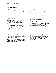## **Executive Summary**

EYES has been operating successfully since first day camp program in 1995. Since this time, additional programs have been added including in-school workshops, all-girls camps, overnight camps, and a French language camp. EYES' success would not be possible without the generous support of local and national funders and various levels of government.

## **In-School Workshops**

EYES provides unique educational opportunities to elementary school classrooms across southern Saskatchewan through its in-school workshop program.

In 2006, we increased our workshop fees to \$1.50 per student from \$1.00 per student. We were able to reach over 6600 students in 20 southern Saskatchewan communities, and received much positive feedback.

## **Summer Camps**

Camp enrollment increased by 13% in 2006, which gave our program a big boost in terms of the quality of programs we were able to offer and in terms of our potential to grow into the future.

We offered four summer camp programs this year, including day camp, all-girls day camp, overnight camp, and a French language camp.

## **Special Programs**

We participated in the Federation of Saskatchewan Indian Nations Summer Festivals at Starblanket First Nation and Carry the Kettle First Nation. Instructors traveled to these communities and presented workshops from our in-school workshop program.

We also offered workshops to the Indian Head Girl Guides as part of their programming.

## **Actua Membership**

Our membership with Actua continues to be integral to the success of our programs. We received funding from a number of Actua member funds and participated in meetings on the national and regional level in 2006.

## **Sponsorship**

EYES was supported generously by a number of organizations on the national and local levels. We seek to form mutually beneficial partnerships with these organizations by recognizing their contributions in ways that meet the needs of individual organizations.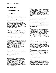## <span id="page-6-0"></span>**Detailed Report**

## <span id="page-6-1"></span>**1. Organizational Profile**

## <span id="page-6-2"></span>**1.1. Camp History**

## **1994**

The University of Regina Engineering students had a vision of holding a summer science camp for children. They saw the importance of sharing their future goals in the engineering and science fields with youths of their communities. We use communities as a plural because of the unique lifestyles of Saskatchewan; we are a rural province and therefore our geography is of importance. 1994 proved to be the conception to the program. The planning and ideals that were planted in 1994 formed the base for the coming years.

## **1995**

EYES camps were made available to youth of the community. Sixty-nine children between the ages of 9 and 13 participated in the first ever EYES Camp. Though the numbers were small, success was being claimed. The experience gained in the 1995 camp rooted us deeper in our goal to provide this invaluable experience to young people.

#### **1996**

In January, our name changed from EYES Camps to the EYES Program. This change in name was due to the expansion of EYES. Free workshops became available to elementary schools and two summer camp programs were offered. We reached over 15,000 youth, were involved with several organizations and gained the support of several faculties at the University of Regina.

#### **1997**

We saw a significant increase in the number of people involved. This year's program reached record 26,000 children, parents, faculty, community organizations and professional and student volunteers.

#### **1998**

This became the year to debug our program and maintain our objective, which is to teach hands-on science to children in a fun-filled, hands-on environment. We capped the number of children enrolled each week in our summer camp program believing that, with smaller groups of children, we would be able to captivated them more with our love of science and engineering.

## **1999**

We began later in the year and had very little time to correct any minor problems, but worked to rebuild some areas of the camp. Once things started flowing everything worked out wonderfully. Enrolment increased from the previous year, there was an increase in advertisement, and the deficit was greatly reduced.

#### **2000**

A new board of directors was created, and the program increased its exposure to public organizations, such as Girl Guides, and rural communities. EYES became financially sound and was able to explore different program possibilities for the future. The camp grew considerably during the summer of 2000, which could be attributed to the increased exposure.

#### **2001**

Our workshop numbers expanded greatly, and for the first time we had a waiting list for schools that wanted our workshops. Again, we are in the process of creating new partnerships within the city of Regina, such as Big Sisters, and the Open Door Society. Response to the EYES camp following the school workshops was overwhelming. The waiting list continued to grow even when camp had officially started.

## **2002**

The EYES Program gained exposure through new workshops requests and numerous special programs. The summer camp returned to the University of Regina. The staff concentrated on growth and continuity through participation in Actua's National Surveys for campers and parents and improvements to an existing Director's Manual.

#### **2003**

We continued to gain more exposure through TV interview, and advertisements in the Leader Post and the Sun. Camp was relocated to Luther College for the first five weeks, and then back at the Education Building for the last week. Enrolment was down slightly for some weeks, but we expanded other weeks to make up for some of this loss.

#### **2004**

Though campus construction continually made running the program a hassle, the camp was a huge success! Though we tried to expand our program to include some new initiatives, we instead were only able to grow our existing program to include new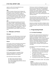aspects as well as lay the groundwork for new initiatives for the years to come.

#### **2005**

Camp was hosted at Winston Knoll Collegiate this year because of the Canada Summer Games. Due to the change in location we did lose a number of campers, however because of strong promotion of our workshop program exposure from various media, we saw an increase in first time campers. We also launched our first ever girls program, which was a huge success for EYES.

#### **2006**

Our camps enjoyed great popularity and received rave reviews in 2006. Camp enrollment surged to almost 85%, and we were proud to partner with the University of Regina's Institut Français to launch our first-ever French language camp program. With the continued popularity of our programs, we are in a very good position to grow further over the next two years.

## <span id="page-7-0"></span>**1.2. Philosophy and Mission**

#### **Philosophy**

EYES believes in the effectiveness of activity-based learning, and seeks to provide children with a safe, dynamic, and fun-filled environment in which to experience science and engineering firsthand.

## **Mission**

EYES sparks curiosity and develops lasting interest and enthusiasm for science, engineering, and technology in children grades three through nine by engaging them in exciting, hands-on, fun-filled learning activities and experiences.

## <span id="page-7-1"></span>**1.3 Organizational Structure**

EYES' board of directors is intended to bring continuity and guidance to various decisions regarding the direction of the program.

The EYES board of directors includes:

Dr. Marie Iwaniw (Faculty Advisor) Dr. Warren Wessel (Faculty Advisor) Dick Graham (Engineering and Parent Advisor) Shay-Anne Shaddock Judson Trenholm

The director is hired in mid-September and works part time from that point until April preparing the summer program. The director's responsibilities during this time include: planning school workshops, launching sponsorship campaigns, exploring opportunities for new initiatives, planning the logistics of the summer camp, and hiring staff for the upcoming summer.

The assistant director is hired in early February, with interviews being conducted in late January. The assistant director assists the director in his or her duties, including taking primary responsibility for the in-school workshop program.

Instructors are hired in late March and begin work in the first week of May. Instructors conduct in-school workshops, prepare camp curriculum, and lead camp groups.

## <span id="page-7-2"></span>**2. Programming Details**

## <span id="page-7-3"></span>**2.1. In-School Workshops**

EYES provides unique educational opportunities to thousands of southern Saskatchewan students and teachers by presenting in-school science and engineering workshops. EYES in-school workshops feature exciting demonstrations and experimental learning. Participating classroom teachers receive resources which include additional activity-based classroom projects which complement EYES workshops and are consistent with the grade-level curriculum.

Our objectives for the in-school workshop program are as follows:

- To create an interest in science and engineering in southern Saskatchewan youth by presenting it in a fun and exciting manner
- To provide positive role models, both male and female, to all students
- To support teachers in their delivery of the Saskatchewan science curriculum
- To promote the University of Regina
- To promote the EYES summer camp program.

Six workshops were offered in 2006. They included:

#### **Flubber**

Back for yet another year, this workshop was offered to grade three classrooms only. In this workshop, students create a slimy substance as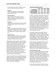they study the states of matter. Flubber continues to be a hit with both students and teachers.

## **Forensics**

Students lifted fingerprints, analyzed splash patterns, and performed ink chromatography analysis to solve a crime.

## **Pop Bottle Rockets**

This was by far our most popular workshop. Students explored forces and Newton's laws of motion as they created rockets that soared to heights of over 50 feet.

## **Tornadoes**

Students discovered the factors involved in making a tornado as they created their own tornadoes in pop bottles.

#### **Waves**

Students were introduced to the Doppler Effect and the structures of different kinds of waves. Students used Slinkies to create waves, and then tied strings to the Slinkies to hear what their waves sounded like.

#### **Soil & the Earth**

Students examined the properties of various types of soil. They looked at how water and soil interact and at the principles of erosion. Students built sandcastles to illustrate these principles.

Workshop fees were increased this year to \$1.50 per student (from \$1.00 per student). At the winter board meeting, it was discussed as to whether we should move to a flat fee system like most other Actua camps or simply increase our per student rate. It was felt that a flat fee would put many rural schools at a disadvantage, and that while \$1.50 per student did not cover our travel expenses for many rural workshops, the difference would be covered by our Regina workshops. This proved very true, as the increase was well received, and we were able to cover our costs very well, while not seeing a decline in our percentage of rural workshops.

In all, we were able to visit a total of 20 communities in 2006. They include: Arcola, Balgonie, Broadview, Bulyea, Central Butte, Estevan, Gravelbourg, Griffin, Indian Head, Kincaid, Lang, Lumsden, McLean, Moose Jaw, Mossbank, Regina, Rocanville, Swift Current, Weyburn, and Windthorst.

| <b>Workshop Bookings Summary</b> |      |      |      |                  |
|----------------------------------|------|------|------|------------------|
|                                  | 2003 | 2004 | 2005 | 2006             |
| Inside Regina                    | 115  | 151  | 169  | 166              |
| <b>Outside Regina</b>            | 76   | 77   | 157  | $\overline{149}$ |
| <b>Total Workshops</b>           | 191  | 228  | 326  | 315              |
| <b>Total Audience</b>            | 4646 | 4870 | 7381 | 6632             |

In 2005, we found that with the dramatic increase in our workshop numbers, our instructors' workload also saw a significant increase due to the decrease in the amount of time available for camp preparation. However, although 2006 saw only a modest decrease in the number of workshops presented, the instructors' workload seemed appropriate. They had enough time to be thorough in their preparation, but little enough time to keep a sense of urgency about their planning. I felt that an appropriate balance was achieved this year. However, in our efforts to keep the workload manageable for our instructors, we were forced to turn some schools away. If our staff size was increased, we would be able to accommodate more schools.

This summer, through our partnership with the Institut Français, we were able to hire a Frenchspeaking instructor. In order to promote our French camp program as well as to increase the accessibility of our programs, we offered workshops in both French and English. Several schools took advantage of the opportunity to have workshops presented in French, and the initiative was very well received.

We have received encouraging feedback on our inschool workshop program this year. As a result of increasing our workshop numbers in 2005 and maintaining those numbers this year, we are developing a reputation in many communities in Regina and across southern Saskatchewan as an organization that delivers high quality programming.

#### <span id="page-8-0"></span>**Recommendations for 2007**

This year, we were quite late in hiring the Assistant Director due to delays in hiring the Director. This resulted in our workshop materials going out to schools late, and consequently, are camp promotional materials were late as well. While these delays were unavoidable, it would be extremely advantageous for us to have the Assistant Director hired by early February 2007. An earlier start in releasing these materials makes it easier for teachers and schools to plan around us, and gives us more opportunity to enroll campers for the summer.

I would also recommend that, in 2007, we contact CVA very early in the year to arrange for the rental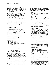of a minivan. This year, our travel expenses were much greater as we were required to rent a van from Enterprise. While things ran very smoothly with the brand new van we were given, I do not believe it is worth the extra cost.

This year, instructors felt that 45 minutes was not enough time to do a good job of presenting a workshop. They recommended that we consider increasing workshop time from 45 minutes to one hour. This would also allow us to do some more interesting, but time consuming, things in classrooms.

Overall, our in-school workshop program has and continues to become an extremely high quality, wellreputed program. I see it as an extremely important part of the work we do, and a vital part of our promotional strategy.

## <span id="page-9-0"></span>**2.2. Summer Camps**

2006 was a very successful year for our summer camp programs in terms of both enrollment and overall program quality. Once again, six weeks of camp were held. Each day of camp was centered on a particular theme, and theme days were divided into two one-week streams which alternated throughout the summer—the Innovation Week and the Discovery Week. The theme days within these streams were as follows:

Innovation Week

- Solve it! (Forensics)
- Build it! (Architecture)
- Break it, Bust it, Buy it! (Product Testing)
- Eat it! (Nutrition)

Discovery Week

- The Great Unknown (Space)
- Go With the Flow (Water)
- Gear it Up! (Machines)
- EYEStronics (Electronics)

The space theme day was presented with funding from Actua. Campers in week six also had the opportunity to participate in a teleconference with a mentor from the Canadian Space Agency. This was arranged with help from Actua, and was a tremendous success.

Instructors were responsible for the preparation of the projects and activities associated with these theme days. Instructors also prepared write-ups of the projects, which were compiled into a workbook for all campers.

This year, four camp programs were offered. They included: Day Camp, All-Girls Day Camp, Overnight Camp, and Camp Aventure Génie-Science.

## **Day Camp**

Regular day camps ran for all six weeks of our summer program.

## **All-Girls Day Camp**

This was our second year running an all-girls program, and it was a tremendous hit once again. The purpose of this program is to attract girls who may be deterred from enrolling in our other camps because of the perception that it may be a "boys' camp". Campers took part in a tour of SaskPower's Technical Services and Research facility and were mentored by female engineers and technologists from SaskTel.

## **Overnight Camp**

Overnight Camp returned in 2006 from a oneyear absence. Campers were housed in the University of Regina's new residences. There was a significant increase in price for accommodations this year, and as a result, the overnight camper fees were increased to \$340. There was tremendous demand for spots in this program, largely due to the high number of rural workshops we have delivered in the last two years.

Campers participated in evening activities including: Ruckers, bowling, treasure hunt, and IMAX. The majority of meals were prepared in by the directors in the residence rooms. This saved us a significant amount of money, and next year's fees could be reduced if a similar approach is taken.

## **Camp Aventure Génie-Science**

In early 2006, we were approached by the Institut Français here at the University of Regina. They asked us if we would be willing to partner with them in offering a French camp program during the summer. As part of our agreement with the Institut Français, an additional instructor was hired, with this instructor's wage being paid by the Institut. The instructor we hired was French-speaking, and was responsible for the presentation of French workshops, the translation of the camp curriculum, and the delivery of the French camp program. Please refer to the Aventure Génie-Science final report (Appendix A) for more detail on this new initiative.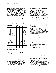Enrollment in 2006 was up 13% from 2005. This is a significant increase, and I attribute the increase to a combination of two factors. First, this year's promotional materials were much more professional in appearance than in previous years and were much more widely distributed. Also, our program offerings were more diverse this year than they have ever been. We were able to fill a number of camp programs to capacity, and were required to put a number of potential campers on waitlists.

The camp's capacity was lowered slightly this year due to the fact that two of our instructors were given a week off during July and August for personal reasons. We were aware of their requests early in the summer, and adjusted camp capacity accordingly.

|                         | 2004 | 2005  | 2006      |
|-------------------------|------|-------|-----------|
| <b>Total Campers</b>    | 345  | 328   | 371       |
| Week 1                  | 37   | 54    | 40        |
| Week 2                  | 74   | 72    | 57        |
| Week 3                  | 59   | 42    | 48 (Full) |
| Week 3 All-Girls        |      | 20    | 20 (Full) |
| Week 3 French           |      |       | 2         |
| Week 4                  | 39   | 54    | 48 (Full) |
| Week 4 All-Girls        |      | 18    | 17        |
| Week 4 French           |      |       | 11 (Full) |
| Week 5                  | 47   | 42    | 50 (Full) |
| Week 5 Overnight        | 15   |       | 20 (Full) |
| Week 6                  | 72   | 81    | 59        |
| Male Campers            | 250  | 218   | 263       |
| <b>Female Campers</b>   | 95   | 110   | 108       |
| % Female                | 28   | 34    | 29        |
| Capacity                | 444  | 444   | 432       |
| % Full                  | 77   | 74    | 86        |
| Camper/Instructor Ratio |      | 8.6:1 | 9.8:1     |

## <span id="page-10-0"></span>**Recommendations for 2007**

Given the demand for a number of our camp programs, I believe that our summer camps are in a position to grow in the coming year. I would recommend that we begin a three-year growth and improvement strategy this year with help from the NSERC PromoScience program.

I believe that a big reason for the increase in enrollment we experienced this year is the increased diversity of the camp programs we are offering. With this increased diversity, our camps are appealing to a broader audience. I believe that in order to continue to grow our camps we need to broaden the scope of our publicity efforts and

continue to diversify the programs we offer and increase the capacity of what we currently offer.

Given the high Aboriginal population of our city and province, we attract very few Aboriginal campers. I recommend that we establish a satellite camp program in north central Regina that targets Aboriginal youth. This camp would be offered at a low cost to the participants. Funding for this initiative would come from Actua, NSERC, and the City of Regina. NSERC would support us on a three year term. A large portion of the funding that came from NSERC would be dedicated to the salaries of two additional instructors. Having these two additional staff members would not only allow us to run the satellite camp, but also to increase the capacity of those programs which are currently in high demand, such as our workshop program and overnight camps.

Since the salaries of the two additional instructors would be covered by sources outside of camp fees, we would have a three year window to build the satellite camp and to increase the enrollment of our current programs to meet the new capacity. The goal is that, by the end of the three year NSERC agreement, these programs would be able to generate enough revenue to sustain themselves at a much higher capacity than we currently have. Our University of Regina-based programs would generate enough revenue to support the salaries of the two additional instructors, and the satellite camp expenses would continue to be covered by Actua and City of Regina grants. At that point, if the board of directors decided to expand in another direction, the current director could apply for NSERC funding for that initiative, thereby repeating the cycle.

## <span id="page-10-1"></span>**2.3. Special Programs**

Once again, EYES was active in the community, participating in a number of outreach efforts not included in our regular programs.

## **Indian Head Girl Guides**

Two female instructors traveled to Indian Head to provide a day of science and engineering education to the Indian Head Girl Guides. They presented all six of our 2006 in-school workshops over the course of the day, and our efforts were very well received.

## **FSIN Summer Festivals**

We were invited to participate in summer festivals organized by the Federation of Saskatchewan Indian Nations. Despite the difficulty experienced in 2004 with this initiative, we decided to make an effort at participating once again. Although communication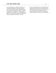was once again poor in a number of instances, we were able to participate in two summer festivals. Two EYES instructors traveled to Starblanket First Nation and Carry the Kettle First Nation on August 14 and August 16, respectively. These instructors presented two of our 2006 in-school workshops at the festival. We were able to receive Actua Aboriginal Outreach funding for this initiative. We felt,

<span id="page-11-0"></span>however, that these festivals were somewhat poorly organized, and for the amount of funding that was required for this initiative, our role was very small. If we were interested in investing this amount in Aboriginal outreach in the future, we feel that the money could be put to better use in other initiatives.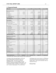## **3. Financial Details**

| Revenue                             |              | Proposed 2005            |                          | <b>Actual 2005</b>       |                          | Proposed 2006            | Actual 2006        |                          |  |
|-------------------------------------|--------------|--------------------------|--------------------------|--------------------------|--------------------------|--------------------------|--------------------|--------------------------|--|
|                                     |              |                          |                          |                          |                          |                          |                    |                          |  |
| <b>REGISTRATION FEES</b>            |              |                          |                          |                          |                          |                          |                    |                          |  |
| Workshops                           | $\mathbb S$  | 5,500.00                 | \$                       | 7,509.00                 | \$                       | 9,000.00                 | \$                 | 9,948.00                 |  |
| Day Camp                            | $\mathsf{s}$ | 52,000.00                | \$                       | 44,647.50                | \$                       | 45,485.07                | \$                 | 51,788.50                |  |
| Overnight Camp                      | $\mathsf{s}$ | 5,500.00                 | \$                       |                          |                          |                          |                    |                          |  |
| Camp Fees                           |              |                          |                          |                          | \$                       | 2,325.00                 | \$                 | 2,380.00                 |  |
| Overnight Fees                      |              |                          |                          |                          | \$                       | 3,000.00                 | \$                 | 3,330.00                 |  |
| <b>Total Overnight Camp</b>         |              |                          |                          |                          | \$                       | 5,325.00                 | \$                 | 5,710.00                 |  |
| <b>Total Camp Fees</b>              |              |                          |                          |                          | \$                       | 50,810.07                | \$                 | 57,498.50                |  |
| <b>Total Registration:</b>          | \$           | 63,000.00                | $\mathbf{s}$             | 52,156.50                | \$                       | 59,810.07                | $\mathbf{s}$       | 67,446.50                |  |
| <b>SPONSORSHIP</b>                  |              |                          |                          |                          |                          |                          |                    |                          |  |
| Industry Sponsorship                | $\mathbb S$  | 18,000.00                | \$                       | 14,750.00                | \$                       | 17,000.00                | \$                 | 17,550.00                |  |
| <b>Industry Bursary Sponsorship</b> | $\mathsf{s}$ | 2,000.00                 | \$                       | 2,000.00                 | \$                       | 2,000.00                 | \$                 | 500.00                   |  |
| Government Funding                  | $\mathsf{s}$ | 6,000.00                 | \$                       |                          | \$                       | 4,000.00                 | \$                 | 9,217.00                 |  |
| Total Ind. & Gov't Sponsorship:     | \$           | 26,000.00                | \$                       | 16,750.00                | \$                       | 23,000.00                | \$                 | 27,267.00                |  |
| Actua Funding                       |              |                          |                          |                          |                          |                          |                    |                          |  |
| National Bursary                    | S            | 1,200.00                 | \$                       | 1,600.00                 | \$                       | 1,400.00                 | \$                 | 1,800.00                 |  |
| Travel for WM                       | \$           | 300.00                   | \$                       | 680.75                   | \$                       | 555.70                   | \$                 | 555.70                   |  |
| Travel for SM                       | $\mathbb S$  | 300.00                   | \$                       | 865.41                   | \$                       | 400.00                   | \$                 | 464.75                   |  |
| One-Tonne Challenge Fund            | $\mathbb S$  |                          | $\mathbb S$              | 1,000.00                 | \$                       | 1,000.00                 | \$                 |                          |  |
| Space Fund                          |              |                          |                          |                          |                          |                          | \$                 | 600.00                   |  |
| Aboriginal Outreach Fund            | $\mathsf{s}$ | $\sim$                   | \$                       |                          | \$                       | 500.00                   | \$                 | 500.00                   |  |
| National Girls Program              | \$           |                          | \$                       | 800.00                   | \$                       | 1,000.00                 | \$                 | 750.00                   |  |
| Total Actua Sponsorship:            | s            | 1,800.00                 | \$                       | 4,946.16                 | \$                       | 4,855.70                 | \$                 | 4,670.45                 |  |
| Total Sponsorship:                  | \$           | 27,800.00                | \$                       | 21,696.16                | \$                       | 27,855.70                | \$                 | 31,937.45                |  |
| <b>ABORIGINAL INITIATIVES</b>       |              |                          |                          |                          |                          |                          |                    |                          |  |
|                                     | \$           |                          | \$                       |                          | \$                       |                          | \$                 |                          |  |
| FSIN Summer Festival                |              | $\sim$                   |                          | $\sim$                   | \$                       | $\sim$                   |                    | ÷                        |  |
| School Workshops                    | \$<br>\$     | $\overline{\phantom{a}}$ | \$<br>$\mathbf{\hat{s}}$ | ÷.<br>L,                 | $\mathbf{\hat{s}}$       | ÷.                       | \$<br>$\mathbf{s}$ | ÷<br>÷,                  |  |
| <b>Total Aboriginal Initiatives</b> |              |                          |                          |                          |                          |                          |                    |                          |  |
| <b>OTHER</b>                        |              |                          |                          |                          |                          |                          |                    |                          |  |
| Regional Meeting Reimbursements     | \$           | $\overline{\phantom{a}}$ | \$                       | ÷,                       | \$                       | $\overline{a}$           | \$                 | 1,352.19                 |  |
| Children's Festival                 | \$           |                          | \$                       | i.                       | \$                       | $\overline{\phantom{a}}$ | \$                 |                          |  |
| Girl Guides                         | \$           | 20.00                    | $\mathbb S$              | L.                       | $\overline{\mathcal{S}}$ | L.                       | \$                 |                          |  |
| French Camp (Institut Francais)     | \$           | $\mathcal{L}$            | \$                       | $\overline{a}$           | \$                       | 6,400.00                 | \$                 | 5,995.00                 |  |
| Instructor T-Shirts                 | $\mathsf{s}$ | $\overline{a}$           | $\mathbf{\hat{S}}$       | $\overline{a}$           | \$                       | L.                       | \$                 |                          |  |
| <b>HRDC</b>                         | $\mathbb S$  | $\overline{a}$           | \$                       | L,                       | \$                       | $\overline{\phantom{a}}$ | \$                 | $\overline{a}$           |  |
| <b>APEGS</b>                        | $\mathbb S$  | $\sim$                   | \$                       | $\overline{a}$           | \$                       | $\Box$                   | \$                 | $\overline{\phantom{a}}$ |  |
| <b>Treaty Four Conference</b>       | $\mathbb S$  | $\sim$                   | \$                       | ÷.                       | \$                       | $\sim$                   | \$                 | ÷.                       |  |
| Home School Association             | \$           | $\overline{\phantom{a}}$ | \$                       | $\overline{a}$           | \$                       | $\overline{\phantom{a}}$ | \$                 | $\overline{a}$           |  |
| YES Mag Subscription                | \$           | 100.00                   | \$                       | $\overline{\phantom{a}}$ | \$                       | 100.00                   | \$                 | 16.00                    |  |
| Miscellaneous                       | \$           |                          | \$                       | ×,                       | \$                       |                          | \$                 | 5.00                     |  |
| <b>Total Miscellanious</b>          | \$           | 120.00                   | $\sqrt[6]{\frac{1}{2}}$  |                          | \$                       | 6,500.00                 | \$                 | 7,368.19                 |  |
|                                     |              |                          |                          |                          |                          |                          |                    |                          |  |
| <b>TOTAL REVENUE:</b>               | \$           | 90,920.00                | \$                       | 73,852.66                | \$                       | 94, 165. 77              |                    | \$106,752.14             |  |

\*Forecasted value: Funds not fully received at time of publication

According to these forecasted figures, EYES will take in approximately \$12,600 more than was budgeted in 2006. Two factors are primarily responsible for this. First, the budget was made based on a projected enrollment of 340 campers. We exceeded this number, enrolling 371 campers in this year's summer camp program. The second factor

contributing to the excess revenue is a \$7000 grant received from the provincial government to cover student wages. This was over and above what we expected to receive.

**Revenue Notes:**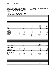*Regional Meeting Reimbursements*: This year, EYES paid the cost of the facilities for the Actua Regional Meetings upfront. This left other camps in the Prairie region with a balance owing to EYES for the costs of the meetings.

*French Camp (Institut Français)*: This line represents the amount EYES will be reimbursed for the salary of

the French-speaking instructor. The full salary will not be reimbursed, as EYES agreed to pay for one week of the salary.

| <b>Expenses</b>                        |                    | Proposed 2005            |  | Actual 2005       |                |                   | Proposed 2006 |          | <b>Actual 2006</b>   |    |
|----------------------------------------|--------------------|--------------------------|--|-------------------|----------------|-------------------|---------------|----------|----------------------|----|
|                                        |                    |                          |  |                   |                |                   |               |          |                      |    |
| <b>ADMINISTRATIVE COSTS</b>            |                    |                          |  |                   |                |                   |               |          |                      |    |
| Telephone & Fax                        | \$                 | ٠                        |  | \$                |                | \$                | 156.00        | s        |                      | ** |
| Mailing                                | \$                 | 600.00                   |  | \$                | 345.75         | \$                | 550.00        | \$       | 350.00               |    |
| Computer & Office Supplies             | $\mathbb{S}$       | 700.00                   |  | \$                | 79.71          | \$                | 300.00        | \$       | 209.54               |    |
| Printing                               | \$                 | 2,000.00                 |  | \$                | 1,617.35       | \$                | 2,000.00      | \$       | 2,200.00             |    |
| <b>Total Administrative Cost:</b>      | \$                 | 3,300.00                 |  | \$                | 2,042.81       | \$                | 3,006.00      | \$       | 2,759.54             |    |
| <b>ADVERTISING &amp; PROMOTION</b>     |                    |                          |  |                   |                |                   |               |          |                      |    |
| Pamphlets & Posters                    | $\mathsf{\$}$      | 50.00                    |  | \$                | 294.25         | \$                | 600.00        | \$       | 684.00               |    |
| Sponsorship Packages                   | $\mathsf{\$}$      | 300.00                   |  | \$                | 97.13          | \$                | 175.00        | \$       | 332.94               |    |
| Other Advertising                      | $\mathsf{\$}$      |                          |  | \$                | J.             | \$                | 75.00         | \$       | 70.55                |    |
| Total Advertising & Promotion:         | \$                 | 350.00                   |  | \$                | 391.38         | \$                | 850.00        | \$       | 1,087.49             |    |
| <b>MATERIALS</b>                       |                    |                          |  |                   |                |                   |               |          |                      |    |
| Workshop Material                      | \$                 | 700.00                   |  | \$                | 443.94         | \$                | 700.00        | \$       | 444.84               |    |
| Car/Van Rental                         | $\mathsf{\$}$      | 2,200.00                 |  | \$                | 2,458.54       | \$                | 2,500.00      | \$       | 3,200.00             |    |
| <b>Facility Expenses</b>               | $\mathsf{\$}$      |                          |  | \$                | 1.090.62       | \$                |               | Ŝ        |                      |    |
| Camp Material                          | $\mathsf{\$}$      | 2,500.00                 |  | \$                | 2,112.74       | \$                | 2,100.00      | S        | 1,229.94             |    |
| Camper Shirts                          | \$                 | 4,500.00                 |  | \$                | 2,715.55       | \$                | 3,200.00      | s        | 3,200.00             |    |
| Friday Lunches                         | $\mathsf{\$}$      | 2,500.00                 |  | \$                | 1,180.96       | \$                | 2,500.00      | \$       | 1,728.20             |    |
| Camper Awards & Prizes                 | $\mathsf{\$}$      | 100.00                   |  | \$                |                | \$                | 100.00        | \$       |                      |    |
| Miscellaneous                          | \$                 |                          |  | \$                |                | \$                |               | \$       |                      |    |
| <b>Total Materials</b>                 | \$                 | 12,500.00                |  | \$                | 10,002.35      | \$                | 11,100.00     | \$       | 9,802.98             |    |
| <b>OVERNIGHT CAMP</b>                  |                    |                          |  |                   |                |                   |               |          |                      |    |
| Activities                             | $\mathsf{\$}$      | 300.00                   |  | \$                | $\overline{a}$ | \$                | 300.00        | \$       | 280.00               |    |
| Accommodations                         | $\mathsf{\$}$      | 1,200.00                 |  | \$                | ×.             | \$                | 1,200.00      | \$       | 3,162.50             |    |
| Meals                                  | \$                 | 1,200.00                 |  | \$                |                | \$                | 1,200.00      | \$       | 565.09               |    |
| Transportation                         | \$                 | 150.00                   |  | \$                | ٠              | \$                | 150.00        | \$       | 67.00                |    |
| <b>Total Overnight Camp</b>            | \$                 | 2,850.00                 |  | \$                | ٠              | \$                | 2,850.00      | \$       | 4,074.59             |    |
| <b>APPRECIATION NIGHTS</b>             |                    |                          |  |                   |                |                   |               |          |                      |    |
| <b>Staff Appreciation</b>              | \$                 | 300.00                   |  | \$                | 333.53         | \$                | 300.00        | \$       | 300.00               | ** |
| <b>Sponsor Appreciation</b>            | $\mathsf{\$}$      | 200.00                   |  | $\mathbb{S}$      | 161.00         | \$                | 200.00        | \$       | 200.00               |    |
| <b>Total Appreciation Nights</b>       | \$                 | 500.00                   |  | \$                | 494.53         | \$                | 500.00        | \$       | 500.00               |    |
| <b>STAFF WAGES &amp; EXPENSES</b>      |                    |                          |  |                   |                |                   |               |          |                      |    |
| Wages                                  | \$                 | 65,000.00                |  | \$                | 57,698.32      | \$                | 63,805.86     | \$       | 59,970.68            | ** |
| <b>Benefits</b>                        | $\mathsf{\$}$      |                          |  | \$                | 4,207.00       | \$                | 4,400.00      | \$       | 4,410.00             | ** |
| <b>Instructor Exchange</b>             | \$                 | $\overline{\phantom{a}}$ |  | \$                | 55.05          | \$                |               | \$       |                      |    |
| <b>Instructor Shirts</b>               | $\mathsf{\$}$      | 250.00                   |  | \$                | ÷,             | \$                | 200.00        | \$       | ÷.                   | ** |
| Junior Counsellors                     | $\mathbb{S}$       | 2,000.00                 |  | \$                | 1,600.00       | \$                | 2,000.00      | \$       | 900.00               | ** |
| <b>First Aid Training</b>              | $\mathsf{\$}$      | 500.00                   |  | $\$$              | 260.00         | \$                | 300.00        | \$       | 436.29               |    |
| <b>Total Wages</b>                     | \$                 | 67,750.00                |  | \$                | 63,820.37      | \$                | 70,705.86     | \$       | 65,716.97            |    |
| <b>ACTUA MEETINGS</b>                  |                    |                          |  |                   |                |                   |               |          |                      |    |
|                                        |                    |                          |  |                   |                |                   | 300.00        |          |                      |    |
| <b>Regional Retreat</b>                | \$<br>$\mathbb{S}$ | 1,700.00                 |  | \$<br>\$          | 1,050.00       | \$<br>\$          | 1,300.00      | \$<br>\$ | 2,257.23<br>1,050.00 |    |
| Registration<br><b>Travel and Food</b> | \$                 | 3,000.00                 |  | \$                | 1,252.41       | \$                | 2,000.00      | \$       | 1,673.35             |    |
| <b>Total Actua Meetings</b>            | \$                 | 4,700.00                 |  | $\boldsymbol{\$}$ | 2,302.41       | $\boldsymbol{\$}$ | 3,600.00      | \$       | 4,980.58             |    |
|                                        |                    |                          |  |                   |                |                   |               |          |                      |    |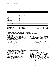| <b>ABORIGINAL INITIATIVES</b>       |              |                          |     |                          |               |                          |    |            |     |
|-------------------------------------|--------------|--------------------------|-----|--------------------------|---------------|--------------------------|----|------------|-----|
| <b>FSIN Summer Festival</b>         | \$           | ٠                        | S   | ٠                        | S             | 500.00                   | s  | 500.00     | **  |
| School Workshops                    | \$           |                          | S   |                          | S             | L.                       | s  |            |     |
| Miscellaneous                       | \$           | ٠                        | S   | ٠                        | S             | L.                       | s  |            |     |
| <b>Total Aboriginal Initiatives</b> | $\mathbf{s}$ | $\overline{\phantom{0}}$ | \$  |                          | \$            | 500.00                   | \$ | 500.00     |     |
| <b>SPECIAL PROGRAMS</b>             |              |                          |     |                          |               |                          |    |            |     |
| <b>Children's Festival</b>          | S            | ٠                        | s   | $\overline{a}$           | \$            | ۰                        | s  |            |     |
| <b>Girl Guides</b>                  | \$           | 50.00                    | s   | ٠                        | \$            | -                        | s  |            |     |
| Agribition                          | \$           |                          | s   | $\overline{a}$           | \$            | ٠                        | s  |            |     |
| <b>Science Fairs</b>                | \$           | ٠                        | S   | $\overline{a}$           | \$            | $\overline{\phantom{a}}$ | S  |            |     |
| <b>Big Sisters</b>                  | \$           |                          | s   | L,                       | S             |                          | \$ |            |     |
| <b>APEGS</b>                        | \$           |                          | s   | ٠                        | S             | ٠                        | s  |            |     |
| Treaty Four Conference              | \$           | ٠                        | S   | $\overline{a}$           | \$            | ٠                        | S  |            |     |
| Home School Association             | \$           | ٠                        | s   | $\overline{a}$           | \$            | $\overline{\phantom{a}}$ | S  |            |     |
| <b>YES Mag Subscriptions</b>        | \$           | 250.00                   | S   | $\overline{a}$           | \$            | ٠                        | S  | 16.00      |     |
| <b>Total Special Programs Cost:</b> | $\mathbf{s}$ | 300.00                   | \$  | $\overline{\phantom{0}}$ | \$            | ۰                        | \$ | 16.00      |     |
| <b>Total Miscellaneous</b>          | $\mathbf{s}$ | 300.00                   | \$  | $\overline{\phantom{0}}$ | $\mathbf{\$}$ | 400.00                   | \$ | 21.21      |     |
| <b>TOTAL EXPENSES:</b>              | \$           | 92,550.00                | \$  | 79,053.85                | \$            | 93,511.86                | \$ | 89,459.36  |     |
| <b>TOTAL REVENUE:</b>               | \$           | 90,920.00                | \$  | 73,852.66                | \$            | 94,165.77                | \$ | 106,752.14 |     |
| <b>BALANCE:</b>                     | -\$          | 1,630.00                 | -\$ | 5,201.19                 | \$            | 653.91                   | \$ | 17,292.78  | *** |

\*\*Forecasted value: Funds not fully paid at time of publication

\*\*\* Based on forecasted values: Final balance will be reported in December 2006.

## **Expenses Notes:**

*Telephone & Fax*: This amount was budgeted as it had been mentioned that there could be an \$11.00 per month charge for our new phone system. To date, we have not incurred any charges.

*Sponsorship Packages*: We went over budget significantly in this area. The rationale for this expense is that we will not have to pay for new designs in the next year or two, as the current sponsorship package design will be used again. Next year's sponsorship package costs will be very low.

*Car/Van Rental*: The Central Vehicle Agency was unable to provide us with a rental van for the months of May and June, so we were required to rent a vehicle from Enterprise at the cost of \$1000.00 per month plus gas expenses. This pushed our costs up significantly.

*Overnight Camp Accomodations*: There was a significant increase in price for all university residence rentals. We increased the overnight camp fees to accommodate this change in price.

*Regional Retreat*: This year, EYES paid the facility fees upfront for the regional retreat. EYES was reimbursed on a per person basis by the other camps in the Actua prairie region.

*FSIN Summer Festival*: The expenses incurred in participating in the FSIN Summer Festivals are being offset by Actua Aboriginal Outreach funding.

## <span id="page-14-0"></span>**Recommendations**

Given all the information available at this time, it would appear that EYES is going to have a surplus of approximately \$17,000 at the end of 2006. My recommendations as to how this money would best be managed will depend on a number of funding proposals that are currently pending. These funding proposals include one made to the South Saskatchewan Community Foundation and one to NSERC PromoScience.

Our proposal to NSERC Promoscience is a substantial one, which would give us all the funds necessary to expand our current programs, run a north-central Regina satellite camp, and make improvements to our office. The total value of this proposal is \$67,000 over three years. If these funding proposals are unsuccessful, I would suggest that we continue with plans to make the same improvements to our office. These improvements would amount to approximately \$6000. I would then suggest that we continue to pursue expansion of our programs, but at a slower pace, while keeping the remaining \$11,000 as a contingency fund in case of poor enrollment.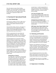Due to the unknown status of these funding proposals, I have not developed a proposed budget for 2007 as part of this report. We will have more details on the status of our funding in January 2007, at which time an appropriate budget will be developed.

## <span id="page-15-0"></span>**4. Functional & Operational Details**

## <span id="page-15-1"></span>**4.1. Actua Membership**

EYES became a member of Actua in 1998, and our Actua membership continues to be integral to our ability to reach southern Saskatchewan youth effectively.

Actua provides training, resources, and support to a national network of local organizations offering science and technology education programs. Actua members reach over 225,000 youth per year. Please visit Actua on the web at www.actua.ca.

EYES was represented at the Actua Winter and Summer Meetings in Ottawa, ON. The director attended the winter meetings, and was accompanied by the assistant director for the summer meetings.

EYES participated in the Actua prairie region's regional meetings once again this year. This year's meetings were held at Southern Alberta Bible Camp. The meetings were attended by all staff from EYES, Sci-Fi (Saskatoon), Minds in Motion (Calgary), and Discover E (Edmonton). The meetings allowed the camps to train staff in areas that are common to all four programs, and are an important part of each camp's team building activities.

Actua provides financial assistance to members through member funds. These funds are available for camps to apply for in order to run specific initiatives. This year, EYES received funding from four Actua member funds:

## **National Bursary Program**

As in other years, we were given a fixed amount which allowed us to offer our camp programs at no charge or reduced rates to campers who would not otherwise be able to afford our camp fees. EYES received \$1800 from this fund in 2006. We received many more bursary requests than we were able to accommodate. Therefore, we awarded a large number of partial bursaries in an effort to allow as many children as possible

to attend camp. I would recommend that we look to increase the amount of funding that is available for bursaries. Part of our proposal to NSERC PromoScience includes increased bursary funding.

#### **Girls Outreach Member Fund**

We were given funding from this member fund to deliver all-girls camp programs as part of our summer camp offerings. This year, we received \$750 from this fund.

#### **Aboriginal Outreach Member Fund**

We received funding from this program to cover the costs of our involvement with FSIN's summer festivals. We received a total of \$500 from this fund.

**2006 Summer Space Project Member Fund** We participated in the 2006 Summer Space Project by delivering a theme day on space as part of the Discovery Weeks this summer. We were given \$600 to assist in the delivery of these space-themed projects.

## <span id="page-15-2"></span>**4.2. Marketing and Promotion**

In early 2006, the board of directors approved an increase in the funding allotted to the promotion of our camps. I believe that this was one of the main reasons for the increase in camp enrollment this summer. Brochures, posters, and sponsorship packages were professionally designed this year, and gave our organization a new level of credibility.

Brochures were distributed to all of last year's campers, and posters were sent to all Regina schools as well as all schools outside of Regina in which we delivered workshops. Each child that took part in EYES workshops received a half-page handout which served to get our information home to their parents.

We were featured several times in news media. Radio-Canada featured us in a news story on our French camp program, and both CBC News and the Leader-Post ran stories on our all-girls program.

I would suggest that, next year, we investigate promoting our camps through newspaper ads in the Leader-Post.

## <span id="page-15-3"></span>**4.3. Registration & Scheduling**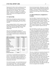Registration for both in-school workshops and camp was conducted on a first come, first served basis. This was the first year that we made use of an online registration form for workshops. This was quite effective, and was very convenient for a number of schools. Capacity for workshops was decided on an arbitrary basis, and we were required to turn some schools away.

## <span id="page-16-0"></span>**4.4. Sponsorship**

EYES relies on the generous support of sponsors at both the national and local level. Sponsors support our program by contributing finances, services, and materials.

Actua contributed \$3650 to EYES' programs in 2006 through the National Bursary Program, the National Space Project Fund, the Aboriginal Outreach Fund, and the Girls Outreach Fund. (See 4.1 Actua Membership)

This year's local sponsorship campaign was primarily the responsibility of the director. Contacts were made with a number of local corporations, and we were able to further develop our relationship with many of them.

| <b>2006 Local Sponsors</b>   | Amount | <b>Funding Level</b> |
|------------------------------|--------|----------------------|
| Regina Research Park         | \$2500 | Gold                 |
| Nexen                        | \$2500 | Gold                 |
| Saskferco                    | \$2500 | Gold                 |
| SaskEnergy                   | \$2000 | Silver               |
| <b>SaskTel</b>               | \$2000 | Silver               |
| Enbridge                     | \$1500 | Silver               |
| <b>SaskPower</b>             | \$1000 | Silver               |
| <b>Labatt Breweries</b>      | \$1000 | Silver               |
| Regina Engineering           | \$500  | <b>Bronze</b>        |
| Society                      |        |                      |
| <b>APEGS</b>                 | \$500  | <b>Bronze</b>        |
| <b>Consumers Cooperative</b> | \$500  | <b>Bronze</b>        |
| Refinery                     |        |                      |
| Fantasy Food Gala            | \$2000 |                      |

As in the past, we participated in the Saskatchewan Science Centre's Fantasy Food Gala fundraiser event this year. We recruited a number of volunteers for the event, and provided services during the event. In return for our involvement, EYES received part of the proceeds of the event.

We received two grants—one on the federal level and one on the provincial level—which were intended to cover student wages. We received approximately \$2100 from the federal government and \$7000 from

the provincial government. Both grants were under each government's Student Employment Experience program. The Institut Français received funds from the federal government's Young Canada Works program to cover the salary of our French-speaking instructor.

## <span id="page-16-1"></span>**4.5. Physical Resources, Equipment & Facilities**

The EYES office is located on the first floor of the Education Building at the University of Regina. All of our materials are currently stored in the office. The office is secured with a code lock. However, this lock is becoming a liability, as if the doorknob is turned in a certain way, one can gain access to the office without entering the code. I would recommend that our lock be repaired or replaced in the near future.

Our current office is, in many ways, very inefficient. There are a few things that could be done to improve it. I believe these improvements could be done for approximately \$6000 (see Camp Recommendations). I would recommend that we purchase three new computers for the office (two for directors' use and one for instructors' use), a storage system for our storage room, and new office furniture (to make better use of the space we have and to create a workstation for instructors). If possible, it would be very nice to request more space from the university. The ideal situation would be if we could be given a room (such as ED 170 or a similar room) in which to store our camp materials. If such a request was successful, the back room of our office could be used as workspace for instructors, thereby limiting our use of the Printing Services pit for project testing and other tasks that require extra space. I believe these improvements are an important investment in the future of our program, and that we can afford to make them in the coming year.

This year, we booked seven university classrooms for use as camp project space. Unfortunately, these rooms were not located in close proximity to each other, which required camp groups to do a lot of walking. The locations of the camp rooms also made preparation and various other tasks inconvenient. The poor selection of rooms was due to the fact that a number of rooms on the third and fifth floors of the education building were being renovated. If camp rooms had been booked in early 2006, we would have had a better selection, and might have been able to have our programs more centralized.